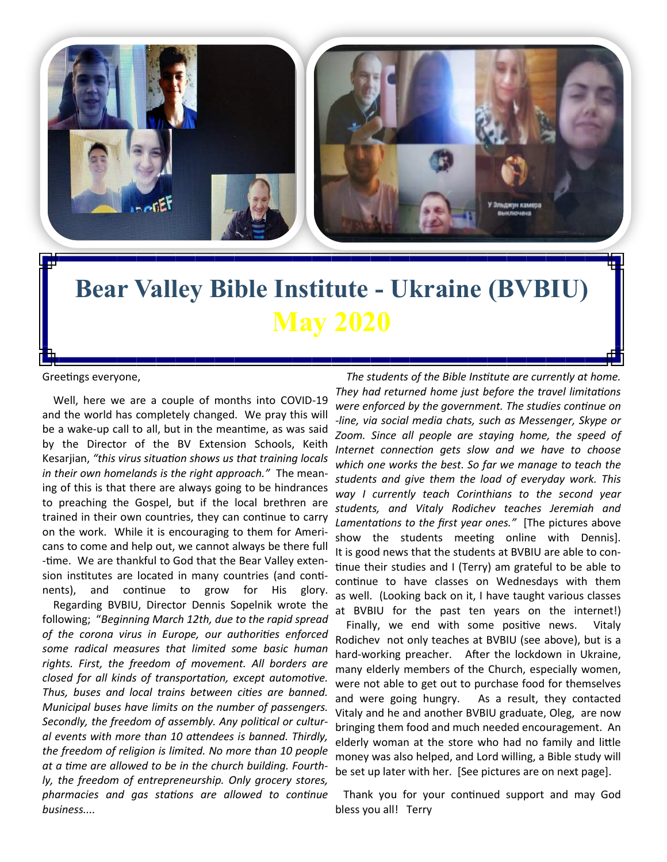

## **Bear Valley Bible Institute - Ukraine (BVBIU) May 2020**

Greetings everyone,

 Well, here we are a couple of months into COVID-19 and the world has completely changed. We pray this will be a wake-up call to all, but in the meantime, as was said by the Director of the BV Extension Schools, Keith Kesarjian, *"this virus situation shows us that training locals in their own homelands is the right approach."* The meaning of this is that there are always going to be hindrances to preaching the Gospel, but if the local brethren are trained in their own countries, they can continue to carry on the work. While it is encouraging to them for Americans to come and help out, we cannot always be there full -time. We are thankful to God that the Bear Valley extension institutes are located in many countries (and continents), and continue to grow for His glory.

 Regarding BVBIU, Director Dennis Sopelnik wrote the following; "*Beginning March 12th, due to the rapid spread of the corona virus in Europe, our authorities enforced some radical measures that limited some basic human rights. First, the freedom of movement. All borders are closed for all kinds of transportation, except automotive. Thus, buses and local trains between cities are banned. Municipal buses have limits on the number of passengers. Secondly, the freedom of assembly. Any political or cultural events with more than 10 attendees is banned. Thirdly, the freedom of religion is limited. No more than 10 people at a time are allowed to be in the church building. Fourthly, the freedom of entrepreneurship. Only grocery stores, pharmacies and gas stations are allowed to continue business....*

 *The students of the Bible Institute are currently at home. They had returned home just before the travel limitations were enforced by the government. The studies continue on -line, via social media chats, such as Messenger, Skype or Zoom. Since all people are staying home, the speed of Internet connection gets slow and we have to choose which one works the best. So far we manage to teach the students and give them the load of everyday work. This way I currently teach Corinthians to the second year students, and Vitaly Rodichev teaches Jeremiah and Lamentations to the first year ones."* [The pictures above show the students meeting online with Dennis]. It is good news that the students at BVBIU are able to continue their studies and I (Terry) am grateful to be able to continue to have classes on Wednesdays with them as well. (Looking back on it, I have taught various classes at BVBIU for the past ten years on the internet!)

 Finally, we end with some positive news. Vitaly Rodichev not only teaches at BVBIU (see above), but is a hard-working preacher. After the lockdown in Ukraine, many elderly members of the Church, especially women, were not able to get out to purchase food for themselves and were going hungry. As a result, they contacted Vitaly and he and another BVBIU graduate, Oleg, are now bringing them food and much needed encouragement. An elderly woman at the store who had no family and little money was also helped, and Lord willing, a Bible study will be set up later with her. [See pictures are on next page].

 Thank you for your continued support and may God bless you all! Terry